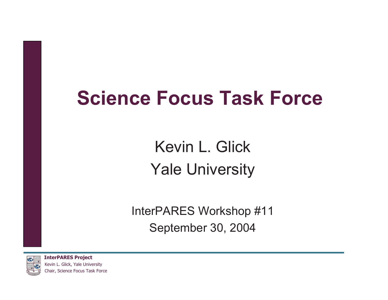# **Science Focus Task Force**

Kevin L. Glick Yale University

InterPARES Workshop #11 September 30, 2004

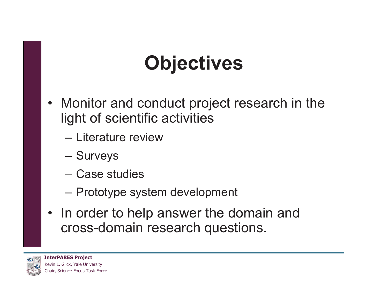# **Objectives**

- Monitor and conduct project research in the light of scientific activities
	- Literature review
	- **Surveys**
	- Case studies
	- Prototype system development
- In order to help answer the domain and cross-domain research questions.

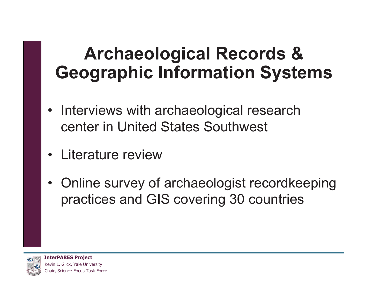### **Archaeological Records & Geographic Information Systems**

- Interviews with archaeological research center in United States Southwest
- $\bullet$ Literature review
- Online survey of archaeologist recordkeeping practices and GIS covering 30 countries

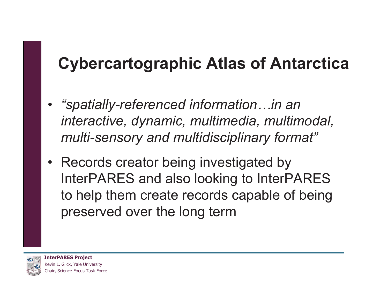#### **Cybercartographic Atlas of Antarctica**

- • *"spatially-referenced information…in an interactive, dynamic, multimedia, multimodal, multi-sensory and multidisciplinary format"*
- Records creator being investigated by InterPARES and also looking to InterPARES to help them create records capable of being preserved over the long term

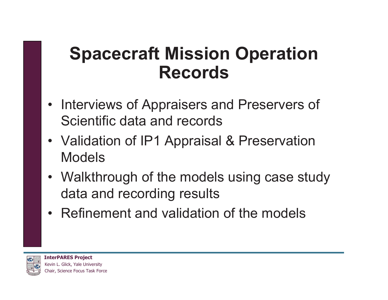#### **Spacecraft Mission Operation Records**

- Interviews of Appraisers and Preservers of Scientific data and records
- Validation of IP1 Appraisal & Preservation Models
- Walkthrough of the models using case study data and recording results
- Refinement and validation of the models

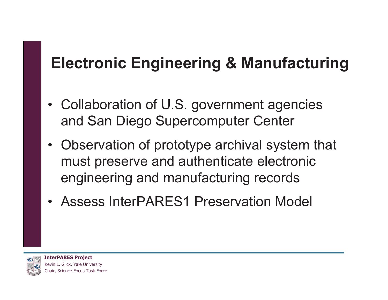#### **Electronic Engineering & Manufacturing**

- Collaboration of U.S. government agencies and San Diego Supercomputer Center
- Observation of prototype archival system that must preserve and authenticate electronic engineering and manufacturing records
- Assess InterPARES1 Preservation Model

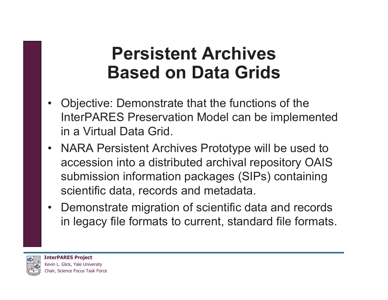#### **Persistent Archives Based on Data Grids**

- $\bullet$  Objective: Demonstrate that the functions of the InterPARES Preservation Model can be implemented in a Virtual Data Grid.
- NARA Persistent Archives Prototype will be used to accession into a distributed archival repository OAIS submission information packages (SIPs) containing scientific data, records and metadata.
- Demonstrate migration of scientific data and records in legacy file formats to current, standard file formats.

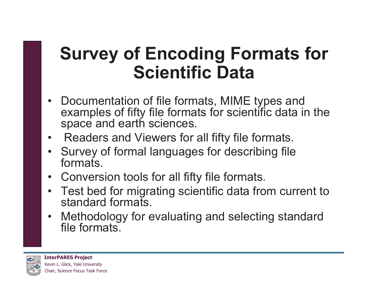#### **Survey of Encoding Formats for Scientific Data**

- Documentation of file formats, MIME types and examples of fifty file formats for scientific data in the space and earth sciences.
- $\bullet$ Readers and Viewers for all fifty file formats.
- Survey of formal languages for describing file formats
- Conversion tools for all fifty file formats.
- Test bed for migrating scientific data from current to standard formats.
- Methodology for evaluating and selecting standard file formats.

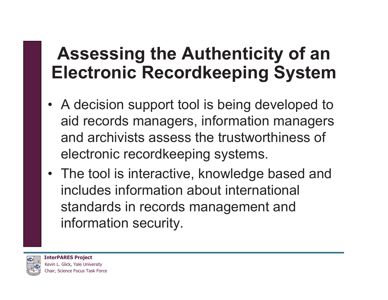### **Assessing the Authenticity of an Electronic Recordkeeping System**

- A decision support tool is being developed to aid records managers, information managers and archivists assess the trustworthiness of electronic recordkeeping systems.
- The tool is interactive, knowledge based and includes information about international standards in records management and information security.

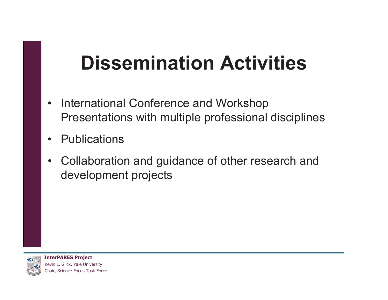# **Dissemination Activities**

- $\bullet$  International Conference and Workshop Presentations with multiple professional disciplines
- $\bullet$ **Publications**
- $\bullet$  Collaboration and guidance of other research and development projects

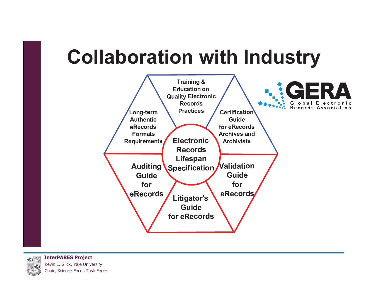# **Collaboration with Industry**